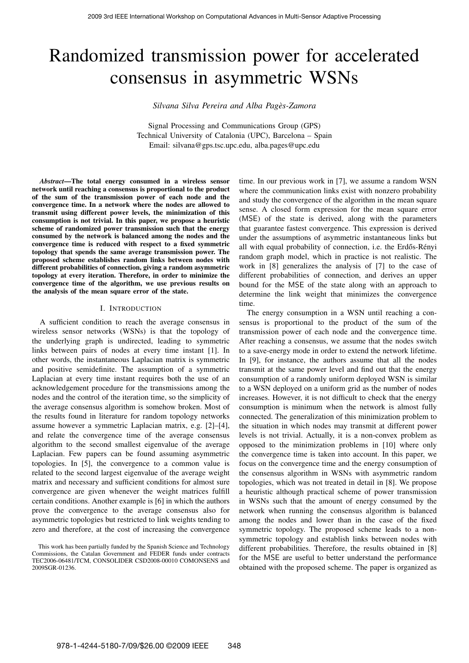# Randomized transmission power for accelerated consensus in asymmetric WSNs

*Silvana Silva Pereira and Alba Pages-Zamora `*

Signal Processing and Communications Group (GPS) Technical University of Catalonia (UPC), Barcelona – Spain Email: silvana@gps.tsc.upc.edu, alba.pages@upc.edu

*Abstract*—The total energy consumed in a wireless sensor network until reaching a consensus is proportional to the product of the sum of the transmission power of each node and the convergence time. In a network where the nodes are allowed to transmit using different power levels, the minimization of this consumption is not trivial. In this paper, we propose a heuristic scheme of randomized power transmission such that the energy consumed by the network is balanced among the nodes and the convergence time is reduced with respect to a fixed symmetric topology that spends the same average transmission power. The proposed scheme establishes random links between nodes with different probabilities of connection, giving a random asymmetric topology at every iteration. Therefore, in order to minimize the convergence time of the algorithm, we use previous results on the analysis of the mean square error of the state.

#### I. INTRODUCTION

A sufficient condition to reach the average consensus in wireless sensor networks (WSNs) is that the topology of the underlying graph is undirected, leading to symmetric links between pairs of nodes at every time instant [1]. In other words, the instantaneous Laplacian matrix is symmetric and positive semidefinite. The assumption of a symmetric Laplacian at every time instant requires both the use of an acknowledgement procedure for the transmissions among the nodes and the control of the iteration time, so the simplicity of the average consensus algorithm is somehow broken. Most of the results found in literature for random topology networks assume however a symmetric Laplacian matrix, e.g. [2]–[4], and relate the convergence time of the average consensus algorithm to the second smallest eigenvalue of the average Laplacian. Few papers can be found assuming asymmetric topologies. In [5], the convergence to a common value is related to the second largest eigenvalue of the average weight matrix and necessary and sufficient conditions for almost sure convergence are given whenever the weight matrices fulfill certain conditions. Another example is [6] in which the authors prove the convergence to the average consensus also for asymmetric topologies but restricted to link weights tending to zero and therefore, at the cost of increasing the convergence

time. In our previous work in [7], we assume a random WSN where the communication links exist with nonzero probability and study the convergence of the algorithm in the mean square sense. A closed form expression for the mean square error (MSE) of the state is derived, along with the parameters that guarantee fastest convergence. This expression is derived under the assumptions of asymmetric instantaneous links but all with equal probability of connection, i.e. the Erdős-Rényi random graph model, which in practice is not realistic. The work in [8] generalizes the analysis of [7] to the case of different probabilities of connection, and derives an upper bound for the MSE of the state along with an approach to determine the link weight that minimizes the convergence time.

The energy consumption in a WSN until reaching a consensus is proportional to the product of the sum of the transmission power of each node and the convergence time. After reaching a consensus, we assume that the nodes switch to a save-energy mode in order to extend the network lifetime. In [9], for instance, the authors assume that all the nodes transmit at the same power level and find out that the energy consumption of a randomly uniform deployed WSN is similar to a WSN deployed on a uniform grid as the number of nodes increases. However, it is not difficult to check that the energy consumption is minimum when the network is almost fully connected. The generalization of this minimization problem to the situation in which nodes may transmit at different power levels is not trivial. Actually, it is a non-convex problem as opposed to the minimization problems in [10] where only the convergence time is taken into account. In this paper, we focus on the convergence time and the energy consumption of the consensus algorithm in WSNs with asymmetric random topologies, which was not treated in detail in [8]. We propose a heuristic although practical scheme of power transmission in WSNs such that the amount of energy consumed by the network when running the consensus algorithm is balanced among the nodes and lower than in the case of the fixed symmetric topology. The proposed scheme leads to a nonsymmetric topology and establish links between nodes with different probabilities. Therefore, the results obtained in [8] for the MSE are useful to better understand the performance obtained with the proposed scheme. The paper is organized as

This work has been partially funded by the Spanish Science and Technology Commissions, the Catalan Government and FEDER funds under contracts TEC2006-06481/TCM, CONSOLIDER CSD2008-00010 COMONSENS and 2009SGR-01236.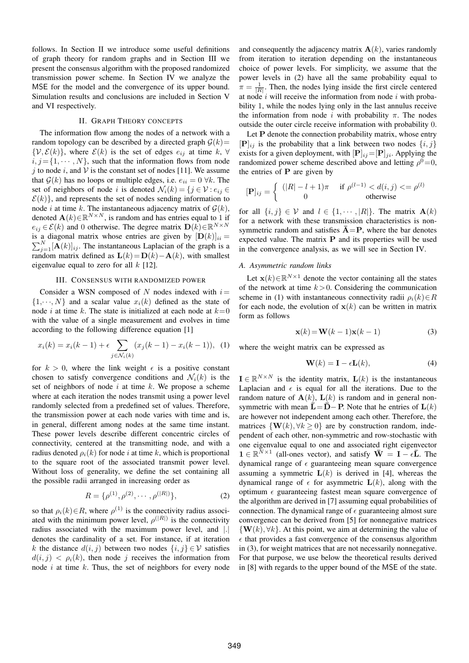follows. In Section II we introduce some useful definitions of graph theory for random graphs and in Section III we present the consensus algorithm with the proposed randomized transmission power scheme. In Section IV we analyze the MSE for the model and the convergence of its upper bound. Simulation results and conclusions are included in Section V and VI respectively.

## II. GRAPH THEORY CONCEPTS

The information flow among the nodes of a network with a random topology can be described by a directed graph  $\mathcal{G}(k)$  =  $\{V, \mathcal{E}(k)\}\$ , where  $\mathcal{E}(k)$  is the set of edges  $e_{ij}$  at time k,  $\forall$  $i, j = \{1, \dots, N\}$ , such that the information flows from node *j* to node *i*, and *V* is the constant set of nodes [11]. We assume that  $\mathcal{G}(k)$  has no loops or multiple edges, i.e.  $e_{ii} = 0 \ \forall k$ . The set of neighbors of node i is denoted  $\mathcal{N}_i(k) = \{j \in \mathcal{V} : e_{ij} \in$  $\mathcal{E}(k)$ , and represents the set of nodes sending information to node i at time k. The instantaneous adjacency matrix of  $\mathcal{G}(k)$ , denoted  $\mathbf{A}(k) \in \mathbb{R}^{N \times N}$ , is random and has entries equal to 1 if  $e_{ij} \in \mathcal{E}(k)$  and 0 otherwise. The degree matrix  $\mathbf{D}(k) \in \mathbb{R}^{N \times N}$ is a diagonal matrix whose entries are given by  $[D(k)]_{ii} =$  $\sum_{j=1}^{N} [\mathbf{A}(k)]_{ij}$ . The instantaneous Laplacian of the graph is a random matrix defined as  $L(k) = D(k) - A(k)$ , with smallest eigenvalue equal to zero for all  $k$  [12].

## III. CONSENSUS WITH RANDOMIZED POWER

Consider a WSN composed of N nodes indexed with  $i=$  $\{1, \dots, N\}$  and a scalar value  $x_i(k)$  defined as the state of node *i* at time *k*. The state is initialized at each node at  $k=0$ with the value of a single measurement and evolves in time according to the following difference equation [1]

$$
x_i(k) = x_i(k-1) + \epsilon \sum_{j \in \mathcal{N}_i(k)} (x_j(k-1) - x_i(k-1)), \tag{1}
$$

for  $k > 0$ , where the link weight  $\epsilon$  is a positive constant chosen to satisfy convergence conditions and  $\mathcal{N}_i(k)$  is the set of neighbors of node  $i$  at time  $k$ . We propose a scheme where at each iteration the nodes transmit using a power level randomly selected from a predefined set of values. Therefore, the transmission power at each node varies with time and is, in general, different among nodes at the same time instant. These power levels describe different concentric circles of connectivity, centered at the transmitting node, and with a radius denoted  $\rho_i(k)$  for node i at time k, which is proportional to the square root of the associated transmit power level. Without loss of generality, we define the set containing all the possible radii arranged in increasing order as

$$
R = \{ \rho^{(1)}, \rho^{(2)}, \cdots, \rho^{(|R|)} \},\tag{2}
$$

so that  $\rho_i(k) \in R$ , where  $\rho^{(1)}$  is the connectivity radius associated with the minimum power level,  $\rho^{(|R|)}$  is the connectivity radius associated with the maximum power level, and |. denotes the cardinality of a set. For instance, if at iteration k the distance  $d(i, j)$  between two nodes  $\{i, j\} \in \mathcal{V}$  satisfies  $d(i, j) < \rho_i(k)$ , then node j receives the information from node  $i$  at time  $k$ . Thus, the set of neighbors for every node and consequently the adjacency matrix  $A(k)$ , varies randomly from iteration to iteration depending on the instantaneous choice of power levels. For simplicity, we assume that the power levels in (2) have all the same probability equal to  $\pi = \frac{1}{|R|}$ . Then, the nodes lying inside the first circle centered at node  $i$  will receive the information from node  $i$  with probability 1, while the nodes lying only in the last annulus receive the information from node i with probability  $\pi$ . The nodes outside the outer circle receive information with probability 0.

Let P denote the connection probability matrix, whose entry  $[P]_{ij}$  is the probability that a link between two nodes  $\{i, j\}$ exists for a given deployment, with  $[P]_{ij}=[P]_{ji}$ . Applying the randomized power scheme described above and letting  $\rho^0 = 0$ , the entries of  $P$  are given by

$$
[\mathbf{P}]_{ij} = \begin{cases} (|R| - l + 1)\pi & \text{if } \rho^{(l-1)} < d(i,j) <= \rho^{(l)} \\ 0 & \text{otherwise} \end{cases}
$$

for all  $\{i, j\} \in V$  and  $l \in \{1, \dots, |R|\}$ . The matrix  $\mathbf{A}(k)$ for a network with these transmission characteristics is nonsymmetric random and satisfies  $\bar{A} = P$ , where the bar denotes expected value. The matrix  $P$  and its properties will be used in the convergence analysis, as we will see in Section IV.

# *A. Asymmetric random links*

Let  $\mathbf{x}(k) \in \mathbb{R}^{N \times 1}$  denote the vector containing all the states of the network at time  $k > 0$ . Considering the communication scheme in (1) with instantaneous connectivity radii  $\rho_i(k) \in R$ for each node, the evolution of  $x(k)$  can be written in matrix form as follows

$$
\mathbf{x}(k) = \mathbf{W}(k-1)\mathbf{x}(k-1) \tag{3}
$$

where the weight matrix can be expressed as

$$
\mathbf{W}(k) = \mathbf{I} - \epsilon \mathbf{L}(k),\tag{4}
$$

 $\mathbf{I} \in \mathbb{R}^{N \times N}$  is the identity matrix,  $\mathbf{L}(k)$  is the instantaneous Laplacian and  $\epsilon$  is equal for all the iterations. Due to the random nature of  $A(k)$ ,  $L(k)$  is random and in general nonsymmetric with mean  $\bar{\mathbf{L}} = \bar{\mathbf{D}} - \mathbf{P}$ . Note that he entries of  $\mathbf{L}(k)$ are however not independent among each other. Therefore, the matrices  $\{W(k), \forall k \geq 0\}$  are by construction random, independent of each other, non-symmetric and row-stochastic with one eigenvalue equal to one and associated right eigenvector  $1 \in \mathbb{R}^{\bar{N} \times 1}$  (all-ones vector), and satisfy  $\bar{W} = I - \epsilon \bar{L}$ . The dynamical range of  $\epsilon$  guaranteeing mean square convergence assuming a symmetric  $L(k)$  is derived in [4], whereas the dynamical range of  $\epsilon$  for asymmetric  $\mathbf{L}(k)$ , along with the optimum  $\epsilon$  guaranteeing fastest mean square convergence of the algorithm are derived in [7] assuming equal probabilities of connection. The dynamical range of  $\epsilon$  guaranteeing almost sure convergence can be derived from [5] for nonnegative matrices  $\{W(k), \forall k\}$ . At this point, we aim at determining the value of  $\epsilon$  that provides a fast convergence of the consensus algorithm in (3), for weight matrices that are not necessarily nonnegative. For that purpose, we use below the theoretical results derived in [8] with regards to the upper bound of the MSE of the state.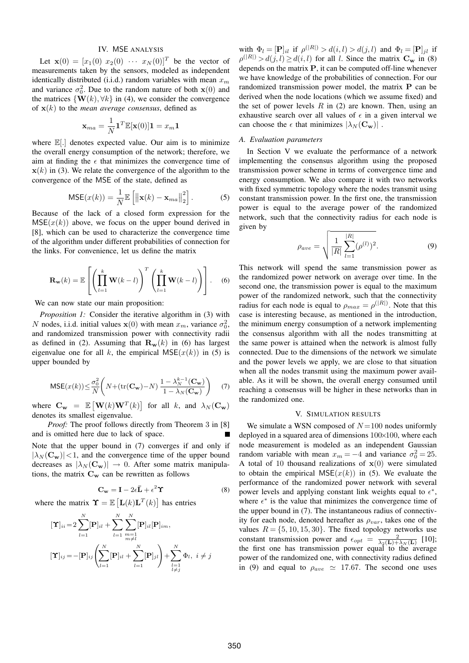## IV. MSE ANALYSIS

Let  $\mathbf{x}(0) = [x_1(0) \ x_2(0) \ \cdots \ x_N(0)]^T$  be the vector of measurements taken by the sensors, modeled as independent identically distributed (i.i.d.) random variables with mean  $x_m$ and variance  $\sigma_0^2$ . Due to the random nature of both  $\mathbf{x}(0)$  and the matrices  $\{W(k), \forall k\}$  in (4), we consider the convergence of x(k) to the *mean average consensus*, defined as

$$
\mathbf{x}_{ma} = \frac{1}{N} \mathbf{1}^T \mathbb{E}[\mathbf{x}(0)] \mathbf{1} = x_m \mathbf{1}
$$

where  $\mathbb{E}[.]$  denotes expected value. Our aim is to minimize the overall energy consumption of the network; therefore, we aim at finding the  $\epsilon$  that minimizes the convergence time of  $\mathbf{x}(k)$  in (3). We relate the convergence of the algorithm to the convergence of the MSE of the state, defined as

$$
MSE(x(k)) = \frac{1}{N} \mathbb{E}\left[ \left\| \mathbf{x}(k) - \mathbf{x}_{ma} \right\|_{2}^{2} \right].
$$
 (5)

Because of the lack of a closed form expression for the  $MSE(x(k))$  above, we focus on the upper bound derived in [8], which can be used to characterize the convergence time of the algorithm under different probabilities of connection for the links. For convenience, let us define the matrix

$$
\mathbf{R}_{\mathbf{w}}(k) = \mathbb{E}\left[\left(\prod_{l=1}^{k} \mathbf{W}(k-l)\right)^{T} \left(\prod_{l=1}^{k} \mathbf{W}(k-l)\right)\right].
$$
 (6)

We can now state our main proposition:

*Proposition 1:* Consider the iterative algorithm in (3) with N nodes, i.i.d. initial values  $\mathbf{x}(0)$  with mean  $x_m$ , variance  $\sigma_0^2$ , and randomized transmission power with connectivity radii as defined in (2). Assuming that  $\mathbf{R_w}(k)$  in (6) has largest eigenvalue one for all k, the empirical MSE $(x(k))$  in (5) is upper bounded by

$$
\mathsf{MSE}(x(k)) \le \frac{\sigma_0^2}{N} \left( N + (\text{tr}(\mathbf{C_w}) - N) \frac{1 - \lambda_N^{k-1}(\mathbf{C_w})}{1 - \lambda_N(\mathbf{C_w})} \right) \tag{7}
$$

where  $\mathbf{C_w} = \mathbb{E} \left[ \mathbf{W}(k) \mathbf{W}^T(k) \right]$  for all k, and  $\lambda_N(\mathbf{C_w})$ denotes its smallest eigenvalue.

*Proof:* The proof follows directly from Theorem 3 in [8] and is omitted here due to lack of space. Note that the upper bound in (7) converges if and only if

 $|\lambda_N(\mathbf{C}_w)|$  < 1, and the convergence time of the upper bound decreases as  $|\lambda_N(\mathbf{C}_w)| \to 0$ . After some matrix manipulations, the matrix  $C_w$  can be rewritten as follows

$$
\mathbf{C}_{\mathbf{w}} = \mathbf{I} - 2\epsilon \mathbf{\bar{L}} + \epsilon^2 \mathbf{\hat{T}}
$$
 (8)

where the matrix  $\mathbf{\hat{r}} = \mathbb{E} \left[ \mathbf{L}(k) \mathbf{L}^T(k) \right]$  has entries

$$
\begin{aligned} [\mathbf{T}]_{ii} &= 2 \sum_{l=1}^{N} [\mathbf{P}]_{il} + \sum_{l=1}^{N} \sum_{\substack{m=1 \\ m \neq l}}^{N} [\mathbf{P}]_{il} [\mathbf{P}]_{im}, \\ [\mathbf{T}]_{ij} &= -[\mathbf{P}]_{ij} \left( \sum_{l=1}^{N} [\mathbf{P}]_{il} + \sum_{l=1}^{N} [\mathbf{P}]_{jl} \right) + \sum_{\substack{l=1 \\ l \neq j}}^{N} \Phi_{l}, \ i \neq j \end{aligned}
$$

with  $\Phi_l = [\mathbf{P}]_{il}$  if  $\rho^{(|R|)} > d(i, l) > d(j, l)$  and  $\Phi_l = [\mathbf{P}]_{jl}$  if  $\rho^{(|R|)} > d(j, l) \ge d(i, l)$  for all l. Since the matrix  $C_w$  in (8) depends on the matrix  $P$ , it can be computed off-line whenever we have knowledge of the probabilities of connection. For our randomized transmission power model, the matrix  $P$  can be derived when the node locations (which we assume fixed) and the set of power levels  $R$  in (2) are known. Then, using an exhaustive search over all values of  $\epsilon$  in a given interval we can choose the  $\epsilon$  that minimizes  $|\lambda_N(\mathbf{C}_w)|$ .

### *A. Evaluation parameters*

In Section V we evaluate the performance of a network implementing the consensus algorithm using the proposed transmission power scheme in terms of convergence time and energy consumption. We also compare it with two networks with fixed symmetric topology where the nodes transmit using constant transmission power. In the first one, the transmission power is equal to the average power of the randomized network, such that the connectivity radius for each node is given by

$$
\rho_{ave} = \sqrt{\frac{1}{|R|} \sum_{l=1}^{|R|} (\rho^{(l)})^2}.
$$
\n(9)

This network will spend the same transmission power as the randomized power network on average over time. In the second one, the transmission power is equal to the maximum power of the randomized network, such that the connectivity radius for each node is equal to  $\rho_{max} = \rho^{(|R|)}$ . Note that this case is interesting because, as mentioned in the introduction, the minimum energy consumption of a network implementing the consensus algorithm with all the nodes transmitting at the same power is attained when the network is almost fully connected. Due to the dimensions of the network we simulate and the power levels we apply, we are close to that situation when all the nodes transmit using the maximum power available. As it will be shown, the overall energy consumed until reaching a consensus will be higher in these networks than in the randomized one.

## V. SIMULATION RESULTS

We simulate a WSN composed of  $N = 100$  nodes uniformly deployed in a squared area of dimensions 100×100, where each node measurement is modeled as an independent Gaussian random variable with mean  $x_m = -4$  and variance  $\sigma_0^2 = 25$ . A total of 10 thousand realizations of  $x(0)$  were simulated to obtain the empirical MSE $(x(k))$  in (5). We evaluate the performance of the randomized power network with several power levels and applying constant link weights equal to  $\epsilon^*$ , where  $\epsilon^*$  is the value that minimizes the convergence time of the upper bound in (7). The instantaneous radius of connectivity for each node, denoted hereafter as  $\rho_{var}$ , takes one of the values  $R = \{5, 10, 15, 30\}$ . The fixed topology networks use constant transmission power and  $\epsilon_{opt} = \frac{2}{\lambda_2(L) + \lambda_2(L)}$  [10]; the first one has transmission power equal to the average power of the randomized one, with connectivity radius defined in (9) and equal to  $\rho_{ave} \simeq 17.67$ . The second one uses